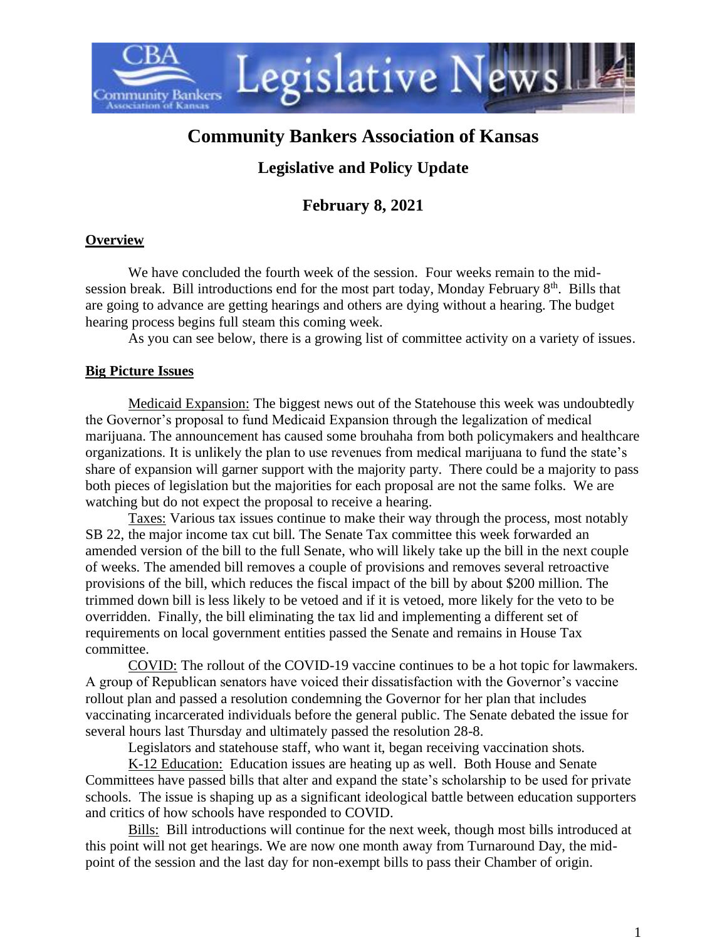

# **Community Bankers Association of Kansas**

## **Legislative and Policy Update**

### **February 8, 2021**

#### **Overview**

We have concluded the fourth week of the session. Four weeks remain to the midsession break. Bill introductions end for the most part today, Monday February 8<sup>th</sup>. Bills that are going to advance are getting hearings and others are dying without a hearing. The budget hearing process begins full steam this coming week.

As you can see below, there is a growing list of committee activity on a variety of issues.

#### **Big Picture Issues**

Medicaid Expansion: The biggest news out of the Statehouse this week was undoubtedly the Governor's proposal to fund Medicaid Expansion through the legalization of medical marijuana. The announcement has caused some brouhaha from both policymakers and healthcare organizations. It is unlikely the plan to use revenues from medical marijuana to fund the state's share of expansion will garner support with the majority party. There could be a majority to pass both pieces of legislation but the majorities for each proposal are not the same folks. We are watching but do not expect the proposal to receive a hearing.

Taxes: Various tax issues continue to make their way through the process, most notably SB 22, the major income tax cut bill. The Senate Tax committee this week forwarded an amended version of the bill to the full Senate, who will likely take up the bill in the next couple of weeks. The amended bill removes a couple of provisions and removes several retroactive provisions of the bill, which reduces the fiscal impact of the bill by about \$200 million. The trimmed down bill is less likely to be vetoed and if it is vetoed, more likely for the veto to be overridden. Finally, the bill eliminating the tax lid and implementing a different set of requirements on local government entities passed the Senate and remains in House Tax committee.

COVID: The rollout of the COVID-19 vaccine continues to be a hot topic for lawmakers. A group of Republican senators have voiced their dissatisfaction with the Governor's vaccine rollout plan and passed a resolution condemning the Governor for her plan that includes vaccinating incarcerated individuals before the general public. The Senate debated the issue for several hours last Thursday and ultimately passed the resolution 28-8.

Legislators and statehouse staff, who want it, began receiving vaccination shots.

K-12 Education: Education issues are heating up as well. Both House and Senate Committees have passed bills that alter and expand the state's scholarship to be used for private schools. The issue is shaping up as a significant ideological battle between education supporters and critics of how schools have responded to COVID.

Bills: Bill introductions will continue for the next week, though most bills introduced at this point will not get hearings. We are now one month away from Turnaround Day, the midpoint of the session and the last day for non-exempt bills to pass their Chamber of origin.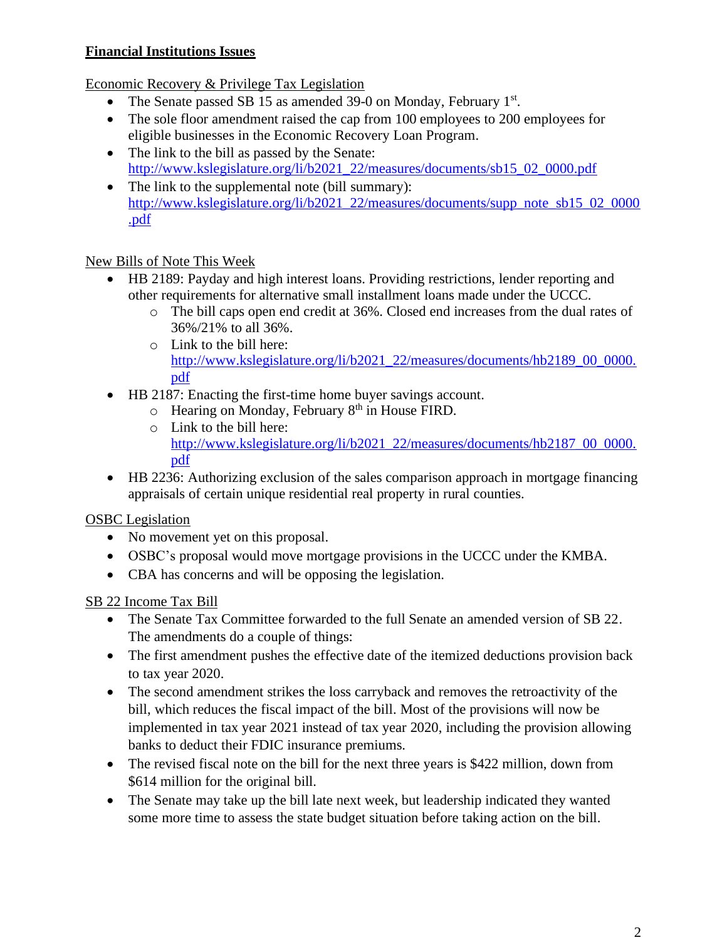### **Financial Institutions Issues**

Economic Recovery & Privilege Tax Legislation

- The Senate passed SB 15 as amended 39-0 on Monday, February  $1<sup>st</sup>$ .
- The sole floor amendment raised the cap from 100 employees to 200 employees for eligible businesses in the Economic Recovery Loan Program.
- The link to the bill as passed by the Senate: [http://www.kslegislature.org/li/b2021\\_22/measures/documents/sb15\\_02\\_0000.pdf](http://www.kslegislature.org/li/b2021_22/measures/documents/sb15_02_0000.pdf)
- The link to the supplemental note (bill summary): [http://www.kslegislature.org/li/b2021\\_22/measures/documents/supp\\_note\\_sb15\\_02\\_0000](http://www.kslegislature.org/li/b2021_22/measures/documents/supp_note_sb15_02_0000.pdf) [.pdf](http://www.kslegislature.org/li/b2021_22/measures/documents/supp_note_sb15_02_0000.pdf)

### New Bills of Note This Week

- HB 2189: Payday and high interest loans. Providing restrictions, lender reporting and other requirements for alternative small installment loans made under the UCCC.
	- o The bill caps open end credit at 36%. Closed end increases from the dual rates of 36%/21% to all 36%.
	- o Link to the bill here: [http://www.kslegislature.org/li/b2021\\_22/measures/documents/hb2189\\_00\\_0000.](http://www.kslegislature.org/li/b2021_22/measures/documents/hb2189_00_0000.pdf) [pdf](http://www.kslegislature.org/li/b2021_22/measures/documents/hb2189_00_0000.pdf)
- HB 2187: Enacting the first-time home buyer savings account.
	- $\circ$  Hearing on Monday, February 8<sup>th</sup> in House FIRD.
	- o Link to the bill here: [http://www.kslegislature.org/li/b2021\\_22/measures/documents/hb2187\\_00\\_0000.](http://www.kslegislature.org/li/b2021_22/measures/documents/hb2187_00_0000.pdf) [pdf](http://www.kslegislature.org/li/b2021_22/measures/documents/hb2187_00_0000.pdf)
- HB 2236: Authorizing exclusion of the sales comparison approach in mortgage financing appraisals of certain unique residential real property in rural counties.

### OSBC Legislation

- No movement yet on this proposal.
- OSBC's proposal would move mortgage provisions in the UCCC under the KMBA.
- CBA has concerns and will be opposing the legislation.

### SB 22 Income Tax Bill

- The Senate Tax Committee forwarded to the full Senate an amended version of SB 22. The amendments do a couple of things:
- The first amendment pushes the effective date of the itemized deductions provision back to tax year 2020.
- The second amendment strikes the loss carryback and removes the retroactivity of the bill, which reduces the fiscal impact of the bill. Most of the provisions will now be implemented in tax year 2021 instead of tax year 2020, including the provision allowing banks to deduct their FDIC insurance premiums.
- The revised fiscal note on the bill for the next three years is \$422 million, down from \$614 million for the original bill.
- The Senate may take up the bill late next week, but leadership indicated they wanted some more time to assess the state budget situation before taking action on the bill.